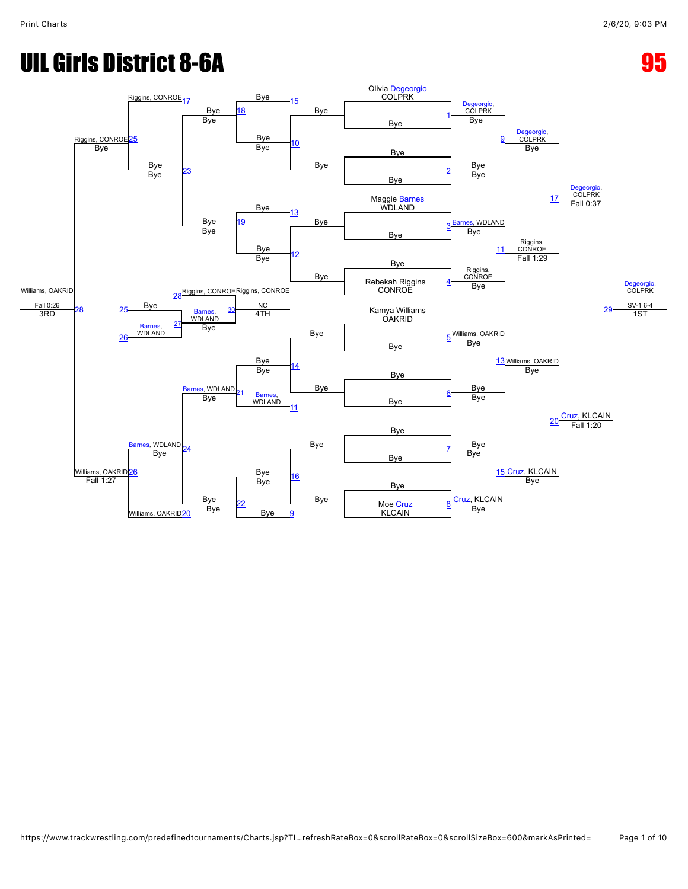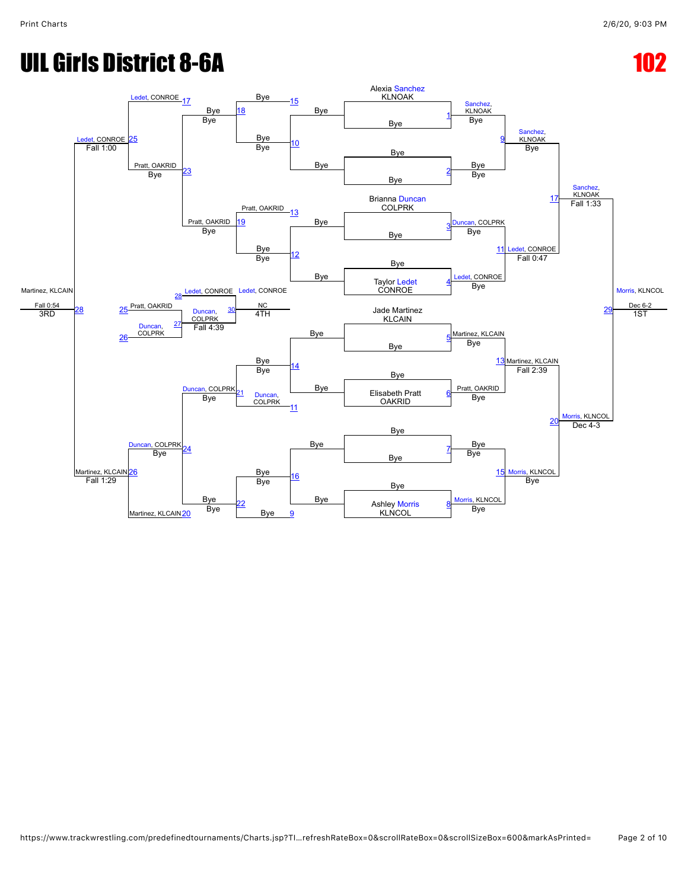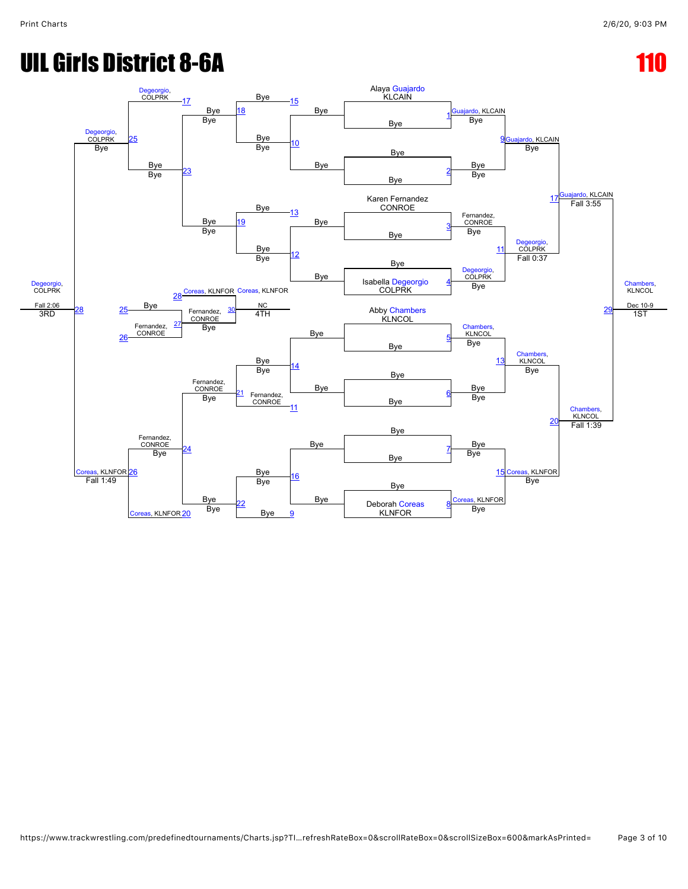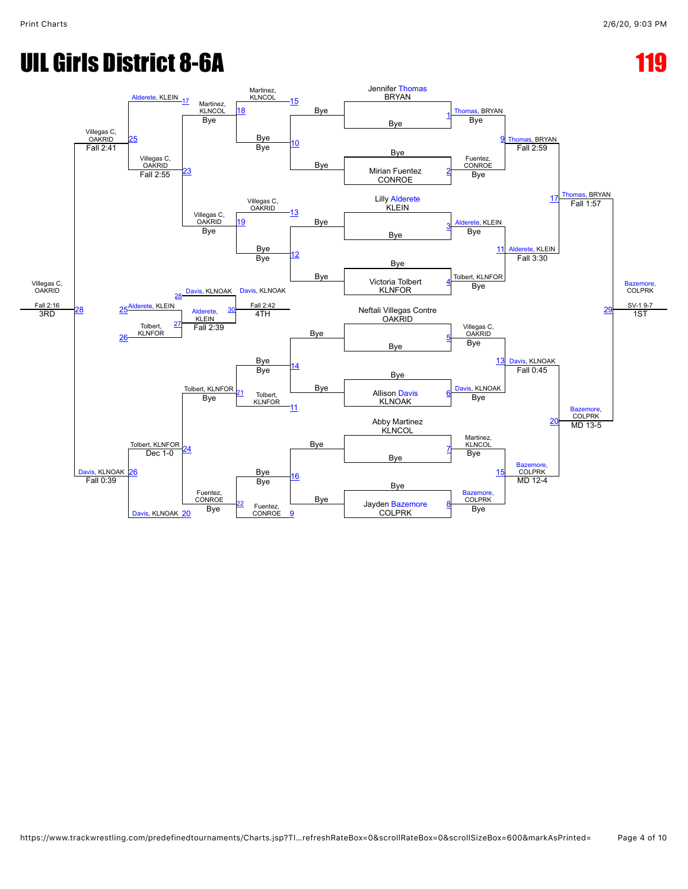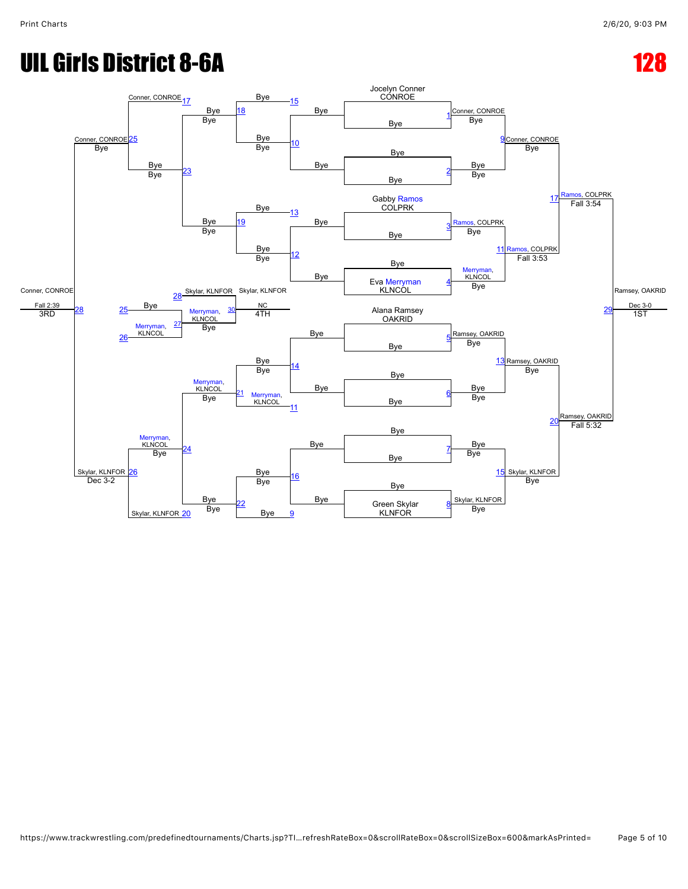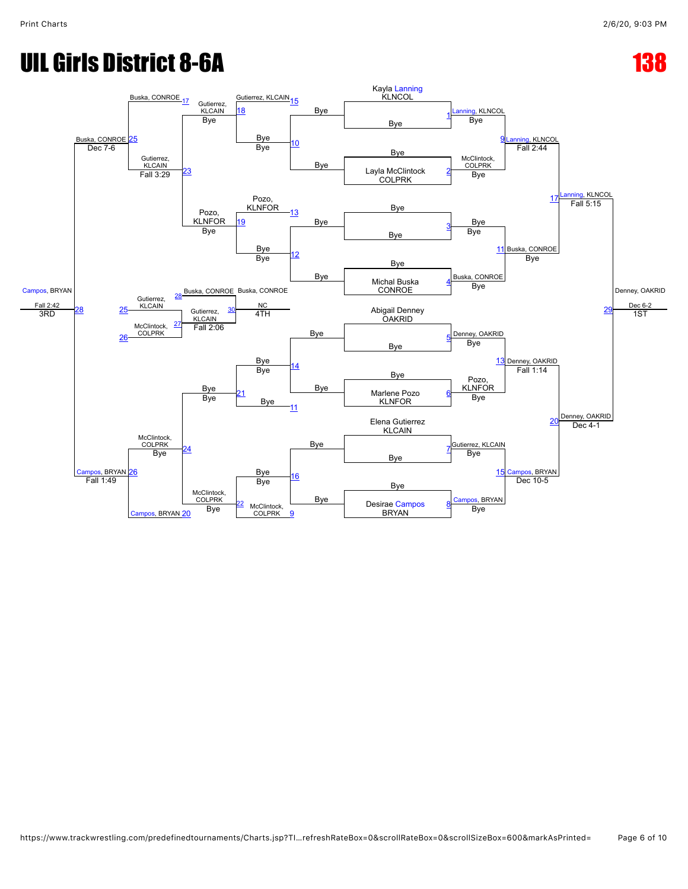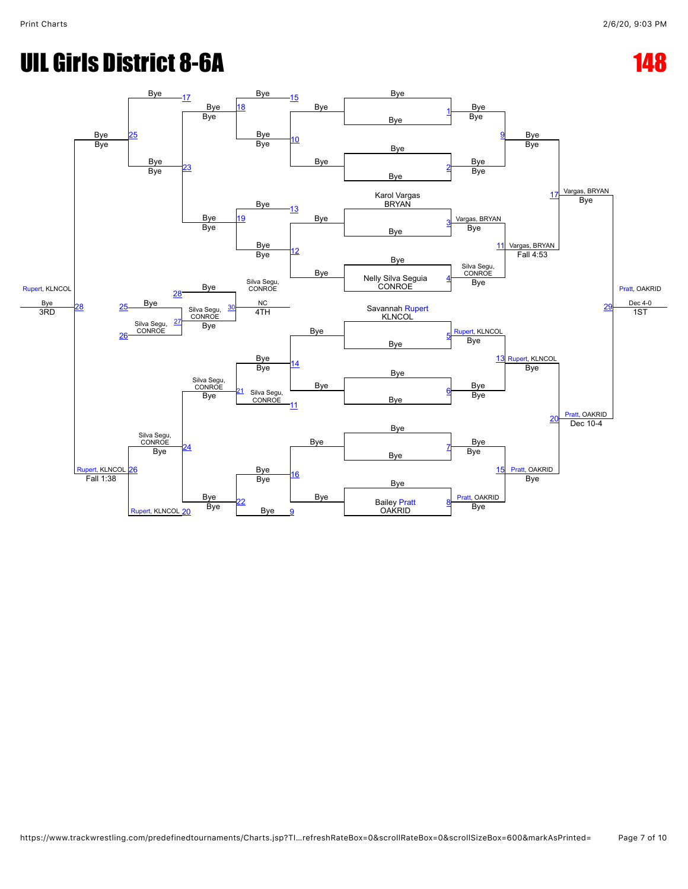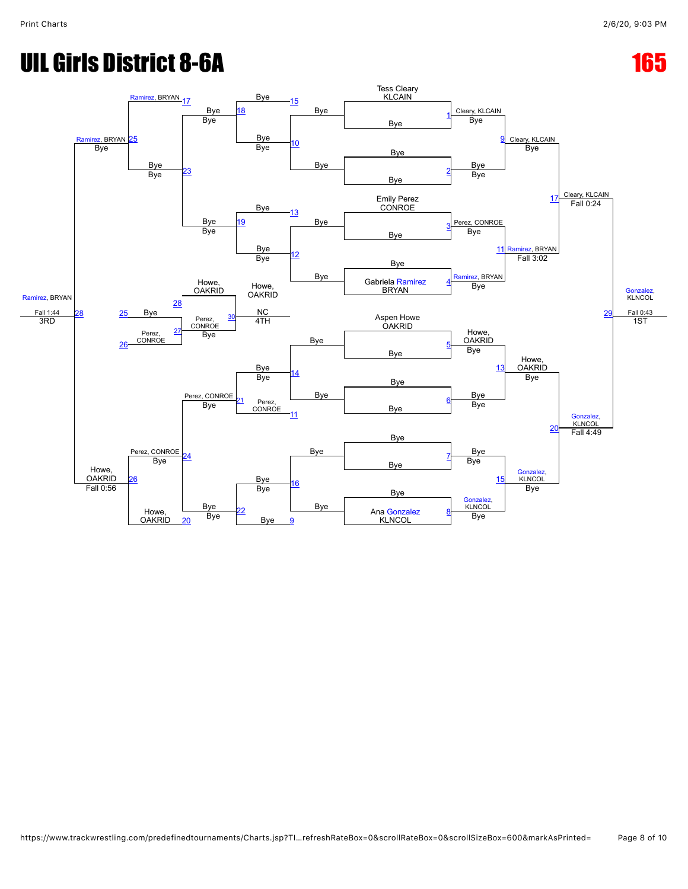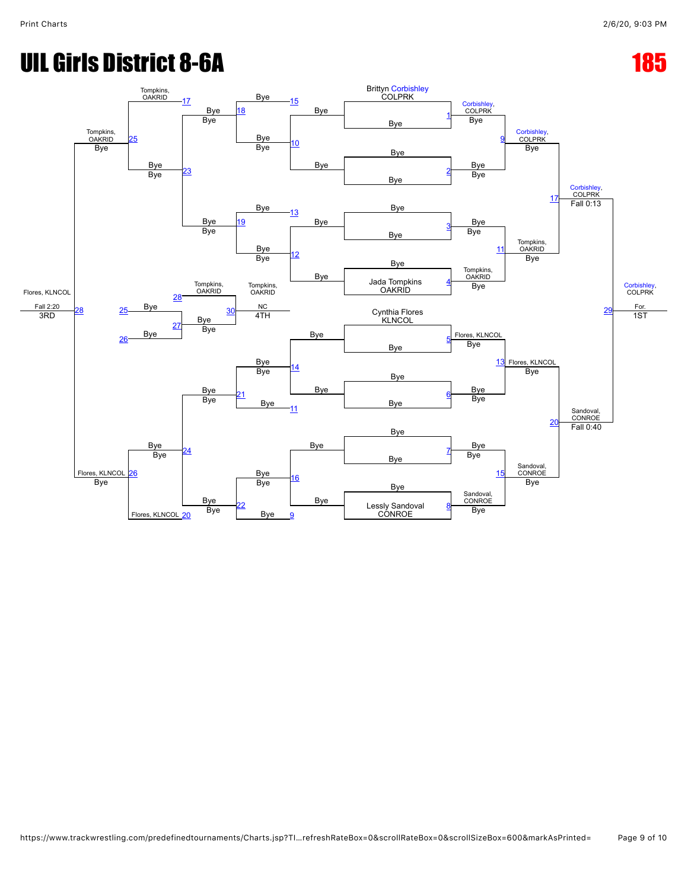